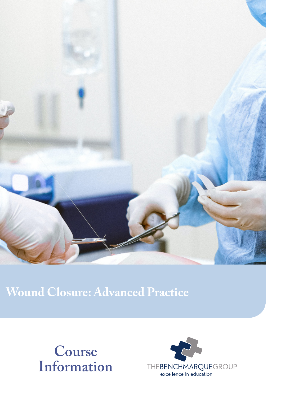

# **Wound Closure: Advanced Practice**



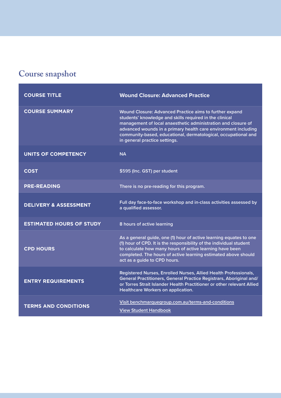# **Course snapshot**

| <b>COURSE TITLE</b>              | <b>Wound Closure: Advanced Practice</b>                                                                                                                                                                                                                                                                                                                  |
|----------------------------------|----------------------------------------------------------------------------------------------------------------------------------------------------------------------------------------------------------------------------------------------------------------------------------------------------------------------------------------------------------|
| <b>COURSE SUMMARY</b>            | Wound Closure: Advanced Practice aims to further expand<br>students' knowledge and skills required in the clinical<br>management of local anaesthetic administration and closure of<br>advanced wounds in a primary health care environment including<br>community-based, educational, dermatological, occupational and<br>in general practice settings. |
| <b>UNITS OF COMPETENCY</b>       | <b>NA</b>                                                                                                                                                                                                                                                                                                                                                |
| <b>COST</b>                      | \$595 (Inc. GST) per student                                                                                                                                                                                                                                                                                                                             |
| <b>PRE-READING</b>               | There is no pre-reading for this program.                                                                                                                                                                                                                                                                                                                |
| <b>DELIVERY &amp; ASSESSMENT</b> | Full day face-to-face workshop and in-class activities assessed by<br>a qualified assessor.                                                                                                                                                                                                                                                              |
| <b>ESTIMATED HOURS OF STUDY</b>  | 8 hours of active learning                                                                                                                                                                                                                                                                                                                               |
| <b>CPD HOURS</b>                 | As a general guide, one (1) hour of active learning equates to one<br>(1) hour of CPD. It is the responsibility of the individual student<br>to calculate how many hours of active learning have been<br>completed. The hours of active learning estimated above should<br>act as a guide to CPD hours.                                                  |
| <b>ENTRY REQUIREMENTS</b>        | Registered Nurses, Enrolled Nurses, Allied Health Professionals,<br>General Practitioners, General Practice Registrars, Aboriginal and/<br>or Torres Strait Islander Health Practitioner or other relevant Allied<br>Healthcare Workers on application.                                                                                                  |
| <b>TERMS AND CONDITIONS</b>      | Visit benchmarquegroup.com.au/terms-and-conditions<br><b>View Student Handbook</b>                                                                                                                                                                                                                                                                       |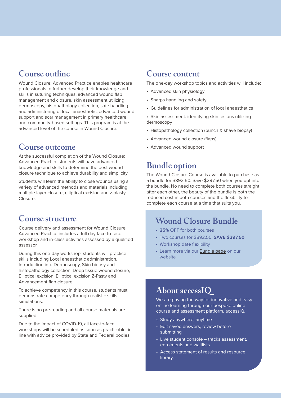## **Course outline**

Wound Closure: Advanced Practice enables healthcare professionals to further develop their knowledge and skills in suturing techniques, advanced wound flap management and closure, skin assessment utilizing dermoscopy, histopathology collection, safe handling and administering of local anaesthetic, advanced wound support and scar management in primary healthcare and community-based settings. This program is at the advanced level of the course in Wound Closure.

#### **Course outcome**

At the successful completion of the Wound Closure: Advanced Practice students will have advanced knowledge and skills to determine the best wound closure technique to achieve durability and simplicity.

Students will learn the ability to close wounds using a variety of advanced methods and materials including multiple layer closure, elliptical excision and z-plasty Closure.

#### **Course structure**

Course delivery and assessment for Wound Closure: Advanced Practice includes a full day face-to-face workshop and in-class activities assessed by a qualified assessor.

During this one-day workshop, students will practice skills including Local anaesthetic administration, Introduction into Dermoscopy, Skin biopsy and histopathology collection, Deep tissue wound closure, Elliptical excision, Elliptical excision Z-Pasty and Advancement flap closure.

To achieve competency in this course, students must demonstrate competency through realistic skills simulations.

There is no pre-reading and all course materials are supplied.

Due to the impact of COVID-19, all face-to-face workshops will be scheduled as soon as practicable, in line with advice provided by State and Federal bodies.

#### **Course content**

The one-day workshop topics and activities will include:

- Advanced skin physiology
- Sharps handling and safety
- Guidelines for administration of local anaesthetics

• Skin assessment: identifying skin lesions utilizing dermoscopy

- Histopathology collection (punch & shave biopsy)
- Advanced wound closure (flaps)
- Advanced wound support

### **Bundle option**

The Wound Closure Course is available to purchase as a bundle for \$892.50. Save \$297.50 when you opt into the bundle. No need to complete both courses straight after each other, the beauty of the bundle is both the reduced cost in both courses and the flexibility to complete each course at a time that suits you.

#### **Wound Closure Bundle**

- **• 25% OFF** for both courses
- Two courses for \$892.50, **SAVE \$297.50**
- Workshop date flexibility
- Learn more via our [Bundle page](https://www.benchmarquegroup.com.au/wound-closure-bundle) on our website

## **About accessIQ**

We are paving the way for innovative and easy online learning through our bespoke online course and assessment platform, accessIQ.

- Study anywhere, anytime
- Edit saved answers, review before submitting
- Live student console tracks assessment, enrolments and waitlists
- Access statement of results and resource library.